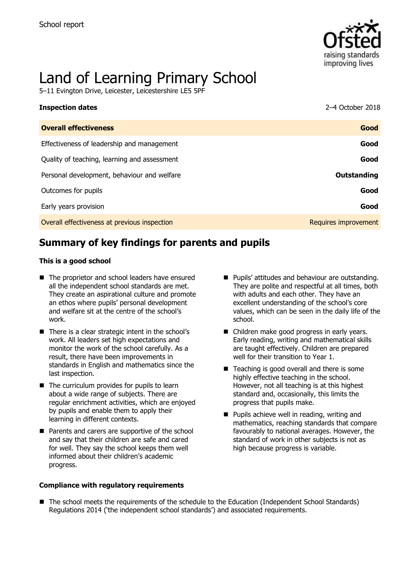

# Land of Learning Primary School

5–11 Evington Drive, Leicester, Leicestershire LE5 5PF

| <b>Inspection dates</b>                      | 2-4 October 2018     |
|----------------------------------------------|----------------------|
| <b>Overall effectiveness</b>                 | Good                 |
| Effectiveness of leadership and management   | Good                 |
| Quality of teaching, learning and assessment | Good                 |
| Personal development, behaviour and welfare  | Outstanding          |
| Outcomes for pupils                          | Good                 |
| Early years provision                        | Good                 |
| Overall effectiveness at previous inspection | Requires improvement |

# **Summary of key findings for parents and pupils**

#### **This is a good school**

- The proprietor and school leaders have ensured all the independent school standards are met. They create an aspirational culture and promote an ethos where pupils' personal development and welfare sit at the centre of the school's work.
- There is a clear strategic intent in the school's work. All leaders set high expectations and monitor the work of the school carefully. As a result, there have been improvements in standards in English and mathematics since the last inspection.
- $\blacksquare$  The curriculum provides for pupils to learn about a wide range of subjects. There are regular enrichment activities, which are enjoyed by pupils and enable them to apply their learning in different contexts.
- Parents and carers are supportive of the school and say that their children are safe and cared for well. They say the school keeps them well informed about their children's academic progress.
- **Pupils' attitudes and behaviour are outstanding.** They are polite and respectful at all times, both with adults and each other. They have an excellent understanding of the school's core values, which can be seen in the daily life of the school.
- Children make good progress in early years. Early reading, writing and mathematical skills are taught effectively. Children are prepared well for their transition to Year 1.
- $\blacksquare$  Teaching is good overall and there is some highly effective teaching in the school. However, not all teaching is at this highest standard and, occasionally, this limits the progress that pupils make.
- **Pupils achieve well in reading, writing and** mathematics, reaching standards that compare favourably to national averages. However, the standard of work in other subjects is not as high because progress is variable.

#### **Compliance with regulatory requirements**

■ The school meets the requirements of the schedule to the Education (Independent School Standards) Regulations 2014 ('the independent school standards') and associated requirements.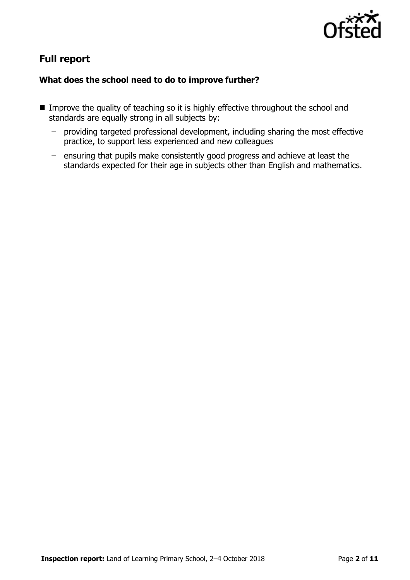

# **Full report**

### **What does the school need to do to improve further?**

- **IMPROVE the quality of teaching so it is highly effective throughout the school and** standards are equally strong in all subjects by:
	- providing targeted professional development, including sharing the most effective practice, to support less experienced and new colleagues
	- ensuring that pupils make consistently good progress and achieve at least the standards expected for their age in subjects other than English and mathematics.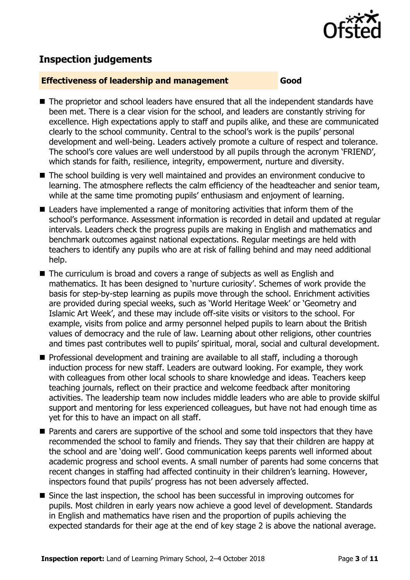

# **Inspection judgements**

#### **Effectiveness of leadership and management Good**

- The proprietor and school leaders have ensured that all the independent standards have been met. There is a clear vision for the school, and leaders are constantly striving for excellence. High expectations apply to staff and pupils alike, and these are communicated clearly to the school community. Central to the school's work is the pupils' personal development and well-being. Leaders actively promote a culture of respect and tolerance. The school's core values are well understood by all pupils through the acronym 'FRIEND', which stands for faith, resilience, integrity, empowerment, nurture and diversity.
- The school building is very well maintained and provides an environment conducive to learning. The atmosphere reflects the calm efficiency of the headteacher and senior team, while at the same time promoting pupils' enthusiasm and enjoyment of learning.
- Leaders have implemented a range of monitoring activities that inform them of the school's performance. Assessment information is recorded in detail and updated at regular intervals. Leaders check the progress pupils are making in English and mathematics and benchmark outcomes against national expectations. Regular meetings are held with teachers to identify any pupils who are at risk of falling behind and may need additional help.
- The curriculum is broad and covers a range of subjects as well as English and mathematics. It has been designed to 'nurture curiosity'. Schemes of work provide the basis for step-by-step learning as pupils move through the school. Enrichment activities are provided during special weeks, such as 'World Heritage Week' or 'Geometry and Islamic Art Week', and these may include off-site visits or visitors to the school. For example, visits from police and army personnel helped pupils to learn about the British values of democracy and the rule of law. Learning about other religions, other countries and times past contributes well to pupils' spiritual, moral, social and cultural development.
- **Professional development and training are available to all staff, including a thorough** induction process for new staff. Leaders are outward looking. For example, they work with colleagues from other local schools to share knowledge and ideas. Teachers keep teaching journals, reflect on their practice and welcome feedback after monitoring activities. The leadership team now includes middle leaders who are able to provide skilful support and mentoring for less experienced colleagues, but have not had enough time as yet for this to have an impact on all staff.
- Parents and carers are supportive of the school and some told inspectors that they have recommended the school to family and friends. They say that their children are happy at the school and are 'doing well'. Good communication keeps parents well informed about academic progress and school events. A small number of parents had some concerns that recent changes in staffing had affected continuity in their children's learning. However, inspectors found that pupils' progress has not been adversely affected.
- Since the last inspection, the school has been successful in improving outcomes for pupils. Most children in early years now achieve a good level of development. Standards in English and mathematics have risen and the proportion of pupils achieving the expected standards for their age at the end of key stage 2 is above the national average.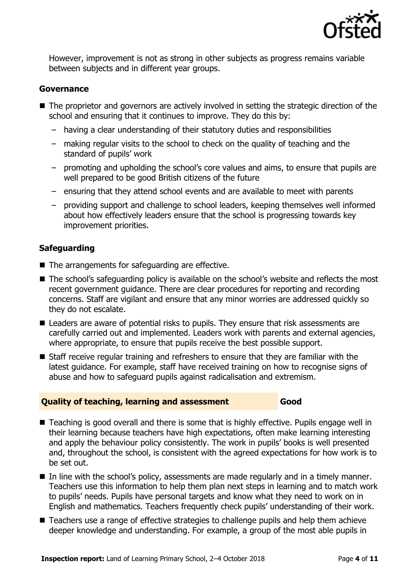

However, improvement is not as strong in other subjects as progress remains variable between subjects and in different year groups.

#### **Governance**

- The proprietor and governors are actively involved in setting the strategic direction of the school and ensuring that it continues to improve. They do this by:
	- having a clear understanding of their statutory duties and responsibilities
	- making regular visits to the school to check on the quality of teaching and the standard of pupils' work
	- promoting and upholding the school's core values and aims, to ensure that pupils are well prepared to be good British citizens of the future
	- ensuring that they attend school events and are available to meet with parents
	- providing support and challenge to school leaders, keeping themselves well informed about how effectively leaders ensure that the school is progressing towards key improvement priorities.

#### **Safeguarding**

- The arrangements for safeguarding are effective.
- The school's safeguarding policy is available on the school's website and reflects the most recent government guidance. There are clear procedures for reporting and recording concerns. Staff are vigilant and ensure that any minor worries are addressed quickly so they do not escalate.
- Leaders are aware of potential risks to pupils. They ensure that risk assessments are carefully carried out and implemented. Leaders work with parents and external agencies, where appropriate, to ensure that pupils receive the best possible support.
- Staff receive regular training and refreshers to ensure that they are familiar with the latest guidance. For example, staff have received training on how to recognise signs of abuse and how to safeguard pupils against radicalisation and extremism.

#### **Quality of teaching, learning and assessment Good**

- Teaching is good overall and there is some that is highly effective. Pupils engage well in their learning because teachers have high expectations, often make learning interesting and apply the behaviour policy consistently. The work in pupils' books is well presented and, throughout the school, is consistent with the agreed expectations for how work is to be set out.
- In line with the school's policy, assessments are made regularly and in a timely manner. Teachers use this information to help them plan next steps in learning and to match work to pupils' needs. Pupils have personal targets and know what they need to work on in English and mathematics. Teachers frequently check pupils' understanding of their work.
- Teachers use a range of effective strategies to challenge pupils and help them achieve deeper knowledge and understanding. For example, a group of the most able pupils in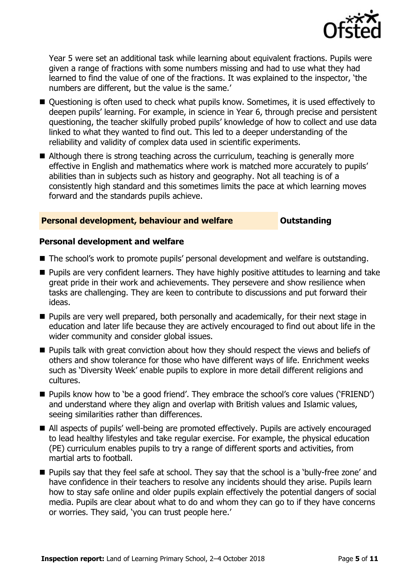

Year 5 were set an additional task while learning about equivalent fractions. Pupils were given a range of fractions with some numbers missing and had to use what they had learned to find the value of one of the fractions. It was explained to the inspector, 'the numbers are different, but the value is the same.'

- Questioning is often used to check what pupils know. Sometimes, it is used effectively to deepen pupils' learning. For example, in science in Year 6, through precise and persistent questioning, the teacher skilfully probed pupils' knowledge of how to collect and use data linked to what they wanted to find out. This led to a deeper understanding of the reliability and validity of complex data used in scientific experiments.
- Although there is strong teaching across the curriculum, teaching is generally more effective in English and mathematics where work is matched more accurately to pupils' abilities than in subjects such as history and geography. Not all teaching is of a consistently high standard and this sometimes limits the pace at which learning moves forward and the standards pupils achieve.

#### **Personal development, behaviour and welfare <b>COU COULDER** Outstanding

#### **Personal development and welfare**

- The school's work to promote pupils' personal development and welfare is outstanding.
- **Pupils are very confident learners. They have highly positive attitudes to learning and take** great pride in their work and achievements. They persevere and show resilience when tasks are challenging. They are keen to contribute to discussions and put forward their ideas.
- **Pupils are very well prepared, both personally and academically, for their next stage in** education and later life because they are actively encouraged to find out about life in the wider community and consider global issues.
- **Pupils talk with great conviction about how they should respect the views and beliefs of** others and show tolerance for those who have different ways of life. Enrichment weeks such as 'Diversity Week' enable pupils to explore in more detail different religions and cultures.
- Pupils know how to 'be a good friend'. They embrace the school's core values ('FRIEND') and understand where they align and overlap with British values and Islamic values, seeing similarities rather than differences.
- All aspects of pupils' well-being are promoted effectively. Pupils are actively encouraged to lead healthy lifestyles and take regular exercise. For example, the physical education (PE) curriculum enables pupils to try a range of different sports and activities, from martial arts to football.
- **Pupils say that they feel safe at school. They say that the school is a 'bully-free zone' and** have confidence in their teachers to resolve any incidents should they arise. Pupils learn how to stay safe online and older pupils explain effectively the potential dangers of social media. Pupils are clear about what to do and whom they can go to if they have concerns or worries. They said, 'you can trust people here.'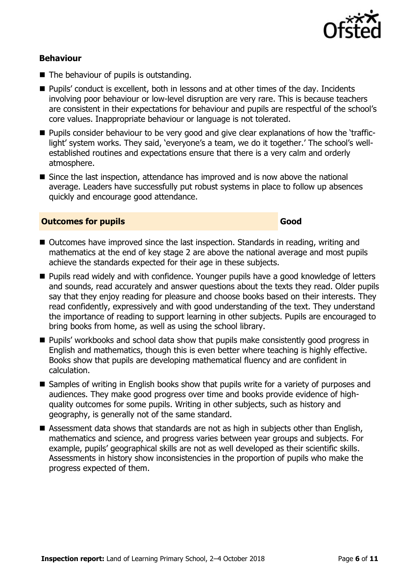

#### **Behaviour**

- The behaviour of pupils is outstanding.
- Pupils' conduct is excellent, both in lessons and at other times of the day. Incidents involving poor behaviour or low-level disruption are very rare. This is because teachers are consistent in their expectations for behaviour and pupils are respectful of the school's core values. Inappropriate behaviour or language is not tolerated.
- **Pupils consider behaviour to be very good and give clear explanations of how the 'traffic**light' system works. They said, 'everyone's a team, we do it together.' The school's wellestablished routines and expectations ensure that there is a very calm and orderly atmosphere.
- Since the last inspection, attendance has improved and is now above the national average. Leaders have successfully put robust systems in place to follow up absences quickly and encourage good attendance.

#### **Outcomes for pupils Good Good**

- Outcomes have improved since the last inspection. Standards in reading, writing and mathematics at the end of key stage 2 are above the national average and most pupils achieve the standards expected for their age in these subjects.
- Pupils read widely and with confidence. Younger pupils have a good knowledge of letters and sounds, read accurately and answer questions about the texts they read. Older pupils say that they enjoy reading for pleasure and choose books based on their interests. They read confidently, expressively and with good understanding of the text. They understand the importance of reading to support learning in other subjects. Pupils are encouraged to bring books from home, as well as using the school library.
- Pupils' workbooks and school data show that pupils make consistently good progress in English and mathematics, though this is even better where teaching is highly effective. Books show that pupils are developing mathematical fluency and are confident in calculation.
- Samples of writing in English books show that pupils write for a variety of purposes and audiences. They make good progress over time and books provide evidence of highquality outcomes for some pupils. Writing in other subjects, such as history and geography, is generally not of the same standard.
- Assessment data shows that standards are not as high in subjects other than English, mathematics and science, and progress varies between year groups and subjects. For example, pupils' geographical skills are not as well developed as their scientific skills. Assessments in history show inconsistencies in the proportion of pupils who make the progress expected of them.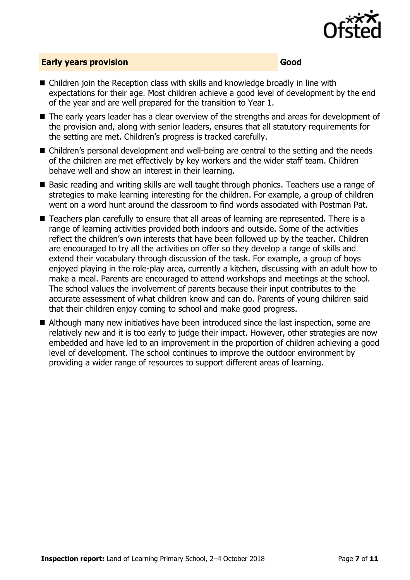

### **Early years provision Good Good**

- Children join the Reception class with skills and knowledge broadly in line with expectations for their age. Most children achieve a good level of development by the end of the year and are well prepared for the transition to Year 1.
- The early years leader has a clear overview of the strengths and areas for development of the provision and, along with senior leaders, ensures that all statutory requirements for the setting are met. Children's progress is tracked carefully.
- Children's personal development and well-being are central to the setting and the needs of the children are met effectively by key workers and the wider staff team. Children behave well and show an interest in their learning.
- Basic reading and writing skills are well taught through phonics. Teachers use a range of strategies to make learning interesting for the children. For example, a group of children went on a word hunt around the classroom to find words associated with Postman Pat.
- Teachers plan carefully to ensure that all areas of learning are represented. There is a range of learning activities provided both indoors and outside. Some of the activities reflect the children's own interests that have been followed up by the teacher. Children are encouraged to try all the activities on offer so they develop a range of skills and extend their vocabulary through discussion of the task. For example, a group of boys enjoyed playing in the role-play area, currently a kitchen, discussing with an adult how to make a meal. Parents are encouraged to attend workshops and meetings at the school. The school values the involvement of parents because their input contributes to the accurate assessment of what children know and can do. Parents of young children said that their children enjoy coming to school and make good progress.
- Although many new initiatives have been introduced since the last inspection, some are relatively new and it is too early to judge their impact. However, other strategies are now embedded and have led to an improvement in the proportion of children achieving a good level of development. The school continues to improve the outdoor environment by providing a wider range of resources to support different areas of learning.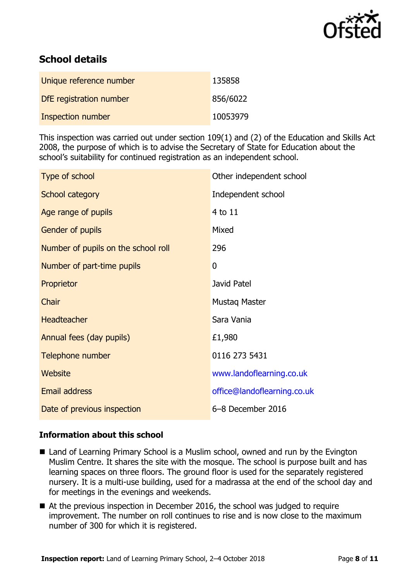

# **School details**

| Unique reference number | 135858   |
|-------------------------|----------|
| DfE registration number | 856/6022 |
| Inspection number       | 10053979 |

This inspection was carried out under section 109(1) and (2) of the Education and Skills Act 2008, the purpose of which is to advise the Secretary of State for Education about the school's suitability for continued registration as an independent school.

| Type of school                      | Other independent school    |
|-------------------------------------|-----------------------------|
| School category                     | Independent school          |
| Age range of pupils                 | 4 to 11                     |
| Gender of pupils                    | Mixed                       |
| Number of pupils on the school roll | 296                         |
| Number of part-time pupils          | 0                           |
| Proprietor                          | Javid Patel                 |
| Chair                               | Mustaq Master               |
| <b>Headteacher</b>                  | Sara Vania                  |
| Annual fees (day pupils)            | £1,980                      |
| Telephone number                    | 0116 273 5431               |
| Website                             | www.landoflearning.co.uk    |
| <b>Email address</b>                | office@landoflearning.co.uk |
| Date of previous inspection         | 6-8 December 2016           |

#### **Information about this school**

- Land of Learning Primary School is a Muslim school, owned and run by the Evington Muslim Centre. It shares the site with the mosque. The school is purpose built and has learning spaces on three floors. The ground floor is used for the separately registered nursery. It is a multi-use building, used for a madrassa at the end of the school day and for meetings in the evenings and weekends.
- At the previous inspection in December 2016, the school was judged to require improvement. The number on roll continues to rise and is now close to the maximum number of 300 for which it is registered.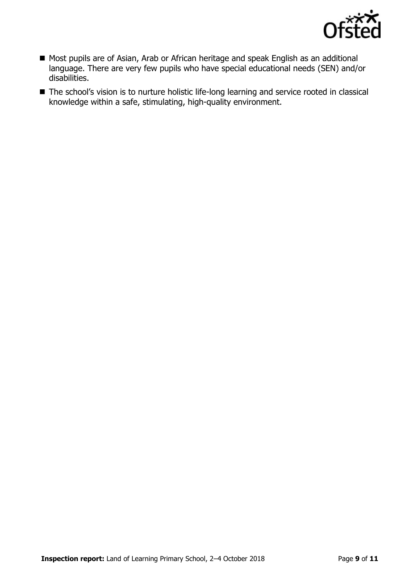

- Most pupils are of Asian, Arab or African heritage and speak English as an additional language. There are very few pupils who have special educational needs (SEN) and/or disabilities.
- The school's vision is to nurture holistic life-long learning and service rooted in classical knowledge within a safe, stimulating, high-quality environment.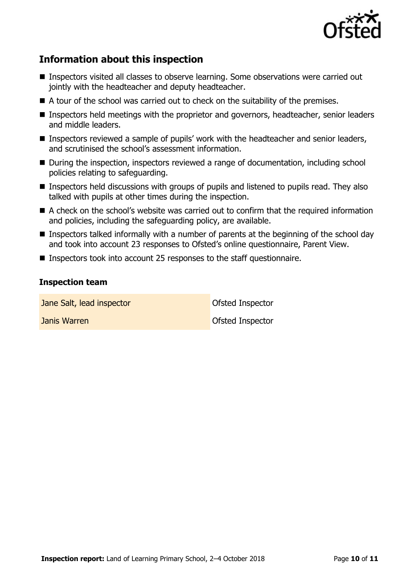

# **Information about this inspection**

- Inspectors visited all classes to observe learning. Some observations were carried out jointly with the headteacher and deputy headteacher.
- A tour of the school was carried out to check on the suitability of the premises.
- Inspectors held meetings with the proprietor and governors, headteacher, senior leaders and middle leaders.
- Inspectors reviewed a sample of pupils' work with the headteacher and senior leaders, and scrutinised the school's assessment information.
- During the inspection, inspectors reviewed a range of documentation, including school policies relating to safeguarding.
- **Inspectors held discussions with groups of pupils and listened to pupils read. They also** talked with pupils at other times during the inspection.
- A check on the school's website was carried out to confirm that the required information and policies, including the safeguarding policy, are available.
- Inspectors talked informally with a number of parents at the beginning of the school day and took into account 23 responses to Ofsted's online questionnaire, Parent View.
- Inspectors took into account 25 responses to the staff questionnaire.

#### **Inspection team**

**Jane Salt, lead inspector Constanting Constanting Constanting Constanting Constanting Constanting Constanting Constanting Constanting Constanting Constanting Constanting Constanting Constanting Constanting Constanting C** 

**Janis Warren Communist Communist Communist Communist Communist Communist Communist Communist Communist Communist Communist Communist Communist Communist Communist Communist Communist Communist Communist Communist Communis**